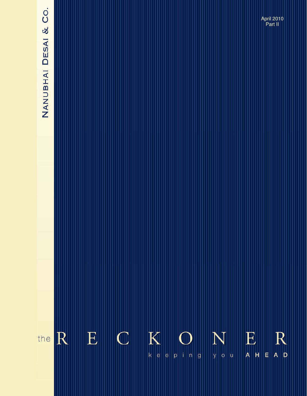# NANUBHAI DESAI & CO.

April 2010 Part II



**The Reckoner….** keeping you ahead **June 2009**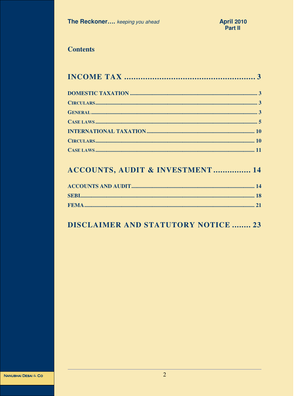# **Contents**

# ACCOUNTS, AUDIT & INVESTMENT ................ 14

# **DISCLAIMER AND STATUTORY NOTICE ........ 23**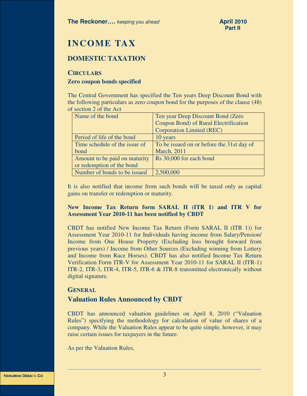# **INCOME TAX**

# **DOMESTIC TAXATION**

#### **CIRCULARS**

#### **Zero coupon bonds specified**

The Central Government has specified the Ten years Deep Discount Bond with the following particulars as zero coupon bond for the purposes of the clause (48) of section 2 of the Act

| Name of the bond              | Ten year Deep Discount Bond (Zero         |
|-------------------------------|-------------------------------------------|
|                               | Coupon Bond) of Rural Electrification     |
|                               | <b>Corporation Limited (REC)</b>          |
| Period of life of the bond    | 10 years                                  |
| Time schedule of the issue of | To be issued on or before the 31st day of |
| bond                          | <b>March</b> , 2011                       |
| Amount to be paid on maturity | Rs 30,000 for each bond                   |
| or redemption of the bond     |                                           |
| Number of bonds to be issued  | 2,500,000                                 |

It is also notified that income from such bonds will be taxed only as capital gains on transfer or redemption or maturity.

#### **New Income Tax Return form SARAL II (ITR 1) and ITR V for Assessment Year 2010-11 has been notified by CBDT**

CBDT has notified New Income Tax Return (Form SARAL II (ITR 1)) for Assessment Year 2010-11 for Individuals having income from Salary/Pension/ Income from One House Property (Excluding loss brought forward from previous years) / Income from Other Sources (Excluding winning from Lottery and Income from Race Horses). CBDT has also notified Income Tax Return Verification Form ITR-V for Assessment Year 2010-11 for SARAL II (ITR-1) ITR-2, ITR-3, ITR-4, ITR-5, ITR-6 & ITR-8 transmitted electronically without digital signature.

#### **GENERAL**

# **Valuation Rules Announced by CBDT**

CBDT has announced valuation guidelines on April 8, 2010 ("Valuation Rules") specifying the methodology for calculation of value of shares of a company. While the Valuation Rules appear to be quite simple, however, it may raise certain issues for taxpayers in the future.

As per the Valuation Rules,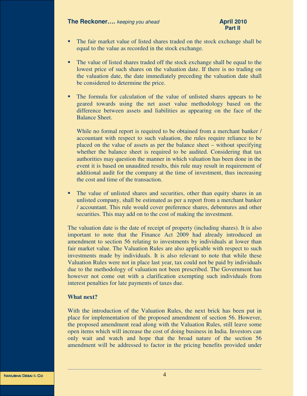#### **The Reckoner....** *keeping you ahead* **April 2010 April 2010**

- The fair market value of listed shares traded on the stock exchange shall be equal to the value as recorded in the stock exchange.
- The value of listed shares traded off the stock exchange shall be equal to the lowest price of such shares on the valuation date. If there is no trading on the valuation date, the date immediately preceding the valuation date shall be considered to determine the price.
- The formula for calculation of the value of unlisted shares appears to be geared towards using the net asset value methodology based on the difference between assets and liabilities as appearing on the face of the Balance Sheet.

While no formal report is required to be obtained from a merchant banker / accountant with respect to such valuation, the rules require reliance to be placed on the value of assets as per the balance sheet – without specifying whether the balance sheet is required to be audited. Considering that tax authorities may question the manner in which valuation has been done in the event it is based on unaudited results, this rule may result in requirement of additional audit for the company at the time of investment, thus increasing the cost and time of the transaction.

 The value of unlisted shares and securities, other than equity shares in an unlisted company, shall be estimated as per a report from a merchant banker / accountant. This rule would cover preference shares, debentures and other securities. This may add on to the cost of making the investment.

The valuation date is the date of receipt of property (including shares). It is also important to note that the Finance Act 2009 had already introduced an amendment to section 56 relating to investments by individuals at lower than fair market value. The Valuation Rules are also applicable with respect to such investments made by individuals. It is also relevant to note that while these Valuation Rules were not in place last year, tax could not be paid by individuals due to the methodology of valuation not been prescribed. The Government has however not come out with a clarification exempting such individuals from interest penalties for late payments of taxes due.

#### **What next?**

With the introduction of the Valuation Rules, the next brick has been put in place for implementation of the proposed amendment of section 56. However, the proposed amendment read along with the Valuation Rules, still leave some open items which will increase the cost of doing business in India. Investors can only wait and watch and hope that the broad nature of the section 56 amendment will be addressed to factor in the pricing benefits provided under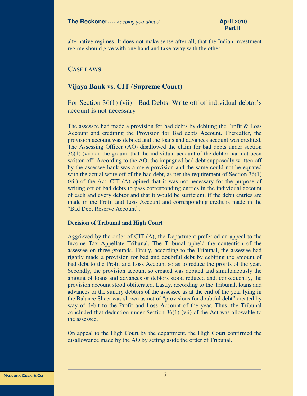alternative regimes. It does not make sense after all, that the Indian investment regime should give with one hand and take away with the other.

#### **CASE LAWS**

# **Vijaya Bank vs. CIT (Supreme Court)**

# For Section 36(1) (vii) - Bad Debts: Write off of individual debtor's account is not necessary

The assessee had made a provision for bad debts by debiting the Profit  $&$  Loss Account and crediting the Provision for Bad debts Account. Thereafter, the provision account was debited and the loans and advances account was credited. The Assessing Officer (AO) disallowed the claim for bad debts under section 36(1) (vii) on the ground that the individual account of the debtor had not been written off. According to the AO, the impugned bad debt supposedly written off by the assessee bank was a mere provision and the same could not be equated with the actual write off of the bad debt, as per the requirement of Section 36(1) (vii) of the Act. CIT (A) opined that it was not necessary for the purpose of writing off of bad debts to pass corresponding entries in the individual account of each and every debtor and that it would be sufficient, if the debit entries are made in the Profit and Loss Account and corresponding credit is made in the "Bad Debt Reserve Account".

#### **Decision of Tribunal and High Court**

Aggrieved by the order of CIT (A), the Department preferred an appeal to the Income Tax Appellate Tribunal. The Tribunal upheld the contention of the assessee on three grounds. Firstly, according to the Tribunal, the assessee had rightly made a provision for bad and doubtful debt by debiting the amount of bad debt to the Profit and Loss Account so as to reduce the profits of the year. Secondly, the provision account so created was debited and simultaneously the amount of loans and advances or debtors stood reduced and, consequently, the provision account stood obliterated. Lastly, according to the Tribunal, loans and advances or the sundry debtors of the assessee as at the end of the year lying in the Balance Sheet was shown as net of "provisions for doubtful debt" created by way of debit to the Profit and Loss Account of the year. Thus, the Tribunal concluded that deduction under Section 36(1) (vii) of the Act was allowable to the assessee.

On appeal to the High Court by the department, the High Court confirmed the disallowance made by the AO by setting aside the order of Tribunal.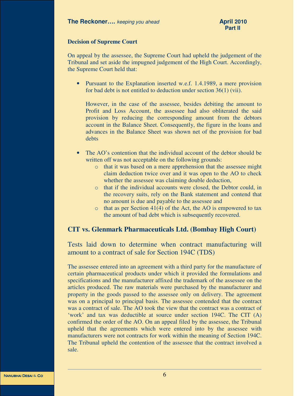#### **Decision of Supreme Court**

On appeal by the assessee, the Supreme Court had upheld the judgement of the Tribunal and set aside the impugned judgement of the High Court. Accordingly, the Supreme Court held that:

• Pursuant to the Explanation inserted w.e.f. 1.4.1989, a mere provision for bad debt is not entitled to deduction under section 36(1) (vii).

However, in the case of the assessee, besides debiting the amount to Profit and Loss Account, the assessee had also obliterated the said provision by reducing the corresponding amount from the debtors account in the Balance Sheet. Consequently, the figure in the loans and advances in the Balance Sheet was shown net of the provision for bad debts

- The AO's contention that the individual account of the debtor should be written off was not acceptable on the following grounds:
	- o that it was based on a mere apprehension that the assessee might claim deduction twice over and it was open to the AO to check whether the assessee was claiming double deduction,
	- o that if the individual accounts were closed, the Debtor could, in the recovery suits, rely on the Bank statement and contend that no amount is due and payable to the assessee and
	- $\circ$  that as per Section 41(4) of the Act, the AO is empowered to tax the amount of bad debt which is subsequently recovered.

# **CIT vs. Glenmark Pharmaceuticals Ltd. (Bombay High Court)**

Tests laid down to determine when contract manufacturing will amount to a contract of sale for Section 194C (TDS)

The assessee entered into an agreement with a third party for the manufacture of certain pharmaceutical products under which it provided the formulations and specifications and the manufacturer affixed the trademark of the assessee on the articles produced. The raw materials were purchased by the manufacturer and property in the goods passed to the assessee only on delivery. The agreement was on a principal to principal basis. The assessee contended that the contract was a contract of sale. The AO took the view that the contract was a contract of 'work' and tax was deductible at source under section 194C. The CIT (A) confirmed the order of the AO. On an appeal filed by the assessee, the Tribunal upheld that the agreements which were entered into by the assessee with manufacturers were not contracts for work within the meaning of Section 194C. The Tribunal upheld the contention of the assessee that the contract involved a sale.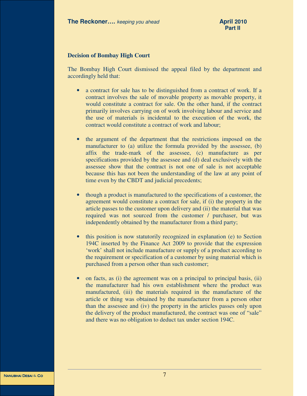#### **Decision of Bombay High Court**

The Bombay High Court dismissed the appeal filed by the department and accordingly held that:

- a contract for sale has to be distinguished from a contract of work. If a contract involves the sale of movable property as movable property, it would constitute a contract for sale. On the other hand, if the contract primarily involves carrying on of work involving labour and service and the use of materials is incidental to the execution of the work, the contract would constitute a contract of work and labour;
- the argument of the department that the restrictions imposed on the manufacturer to (a) utilize the formula provided by the assessee, (b) affix the trade-mark of the assessee, (c) manufacture as per specifications provided by the assessee and (d) deal exclusively with the assessee show that the contract is not one of sale is not acceptable because this has not been the understanding of the law at any point of time even by the CBDT and judicial precedents;
- though a product is manufactured to the specifications of a customer, the agreement would constitute a contract for sale, if (i) the property in the article passes to the customer upon delivery and (ii) the material that was required was not sourced from the customer / purchaser, but was independently obtained by the manufacturer from a third party;
- this position is now statutorily recognized in explanation (e) to Section 194C inserted by the Finance Act 2009 to provide that the expression 'work' shall not include manufacture or supply of a product according to the requirement or specification of a customer by using material which is purchased from a person other than such customer;
- on facts, as (i) the agreement was on a principal to principal basis, (ii) the manufacturer had his own establishment where the product was manufactured, (iii) the materials required in the manufacture of the article or thing was obtained by the manufacturer from a person other than the assessee and (iv) the property in the articles passes only upon the delivery of the product manufactured, the contract was one of "sale" and there was no obligation to deduct tax under section 194C.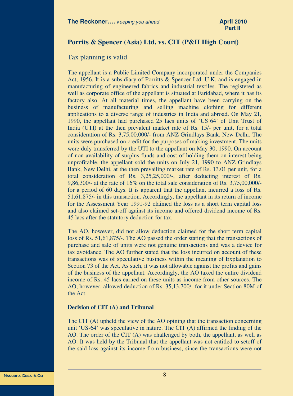# **Porrits & Spencer (Asia) Ltd. vs. CIT (P&H High Court)**

# Tax planning is valid.

The appellant is a Public Limited Company incorporated under the Companies Act, 1956. It is a subsidiary of Porritts & Spencer Ltd. U.K. and is engaged in manufacturing of engineered fabrics and industrial textiles. The registered as well as corporate office of the appellant is situated at Faridabad, where it has its factory also. At all material times, the appellant have been carrying on the business of manufacturing and selling machine clothing for different applications to a diverse range of industries in India and abroad. On May 21, 1990, the appellant had purchased 25 lacs units of 'US'64' of Unit Trust of India (UTI) at the then prevalent market rate of Rs. 15/- per unit, for a total consideration of Rs. 3,75,00,000/- from ANZ Grindlays Bank, New Delhi. The units were purchased on credit for the purposes of making investment. The units were duly transferred by the UTI to the appellant on May 30, 1990. On account of non-availability of surplus funds and cost of holding them on interest being unprofitable, the appellant sold the units on July 21, 1990 to ANZ Grindlays Bank, New Delhi, at the then prevailing market rate of Rs. 13.01 per unit, for a total consideration of Rs. 3,25,25,000/-, after deducting interest of Rs. 9,86,300/- at the rate of 16% on the total sale consideration of Rs. 3,75,00,000/ for a period of 60 days. It is apparent that the appellant incurred a loss of Rs. 51,61,875/- in this transaction. Accordingly, the appellant in its return of income for the Assessment Year 1991-92 claimed the loss as a short term capital loss and also claimed set-off against its income and offered dividend income of Rs. 45 lacs after the statutory deduction for tax.

The AO, however, did not allow deduction claimed for the short term capital loss of Rs. 51,61,875/-. The AO passed the order stating that the transactions of purchase and sale of units were not genuine transactions and was a device for tax avoidance. The AO further stated that the loss incurred on account of these transactions was of speculative business within the meaning of Explanation to Section 73 of the Act. As such, it was not allowable against the profits and gains of the business of the appellant. Accordingly, the AO taxed the entire dividend income of Rs. 45 lacs earned on these units as income from other sources. The AO, however, allowed deduction of Rs. 35,13,700/- for it under Section 80M of the Act.

#### **Decision of CIT (A) and Tribunal**

The CIT (A) upheld the view of the AO opining that the transaction concerning unit 'US-64' was speculative in nature. The CIT (A) affirmed the finding of the AO. The order of the CIT (A) was challenged by both, the appellant, as well as AO. It was held by the Tribunal that the appellant was not entitled to setoff of the said loss against its income from business, since the transactions were not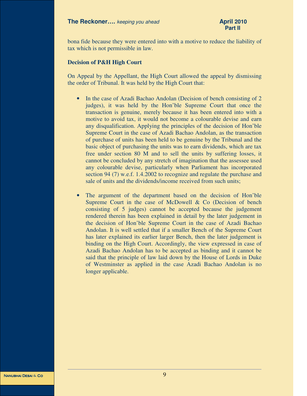bona fide because they were entered into with a motive to reduce the liability of tax which is not permissible in law.

#### **Decision of P&H High Court**

On Appeal by the Appellant, the High Court allowed the appeal by dismissing the order of Tribunal. It was held by the High Court that:

- In the case of Azadi Bachao Andolan (Decision of bench consisting of 2) judges), it was held by the Hon'ble Supreme Court that once the transaction is genuine, merely because it has been entered into with a motive to avoid tax, it would not become a colourable devise and earn any disqualification. Applying the principles of the decision of Hon'ble Supreme Court in the case of Azadi Bachao Andolan, as the transaction of purchase of units has been held to be genuine by the Tribunal and the basic object of purchasing the units was to earn dividends, which are tax free under section 80 M and to sell the units by suffering losses, it cannot be concluded by any stretch of imagination that the assessee used any colourable devise, particularly when Parliament has incorporated section 94 (7) w.e.f. 1.4.2002 to recognize and regulate the purchase and sale of units and the dividends/income received from such units;
- The argument of the department based on the decision of Hon'ble Supreme Court in the case of McDowell & Co (Decision of bench consisting of 5 judges) cannot be accepted because the judgement rendered therein has been explained in detail by the later judgement in the decision of Hon'ble Supreme Court in the case of Azadi Bachao Andolan. It is well settled that if a smaller Bench of the Supreme Court has later explained its earlier larger Bench, then the later judgement is binding on the High Court. Accordingly, the view expressed in case of Azadi Bachao Andolan has to be accepted as binding and it cannot be said that the principle of law laid down by the House of Lords in Duke of Westminster as applied in the case Azadi Bachao Andolan is no longer applicable.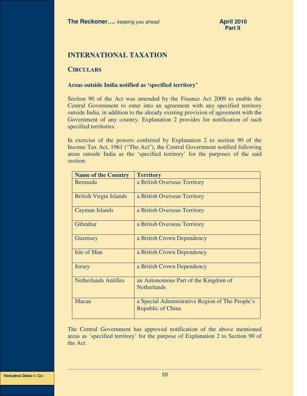# **INTERNATIONAL TAXATION**

## **CIRCULARS**

#### **Areas outside India notified as 'specified territory'**

Section 90 of the Act was amended by the Finance Act 2009 to enable the Central Government to enter into an agreement with any specified territory outside India, in addition to the already existing provision of agreement with the Government of any country. Explanation 2 provides for notification of such specified territories.

In exercise of the powers conferred by Explanation 2 to section 90 of the Income Tax Act, 1961 ("The Act"), the Central Government notified following areas outside India as the 'specified territory' for the purposes of the said section:

| <b>Name of the Country</b>    | <b>Territory</b>                                                     |
|-------------------------------|----------------------------------------------------------------------|
| Bermuda                       | a British Overseas Territory                                         |
| <b>British Virgin Islands</b> | a British Overseas Territory                                         |
| Cayman Islands                | a British Overseas Territory                                         |
| Gibraltar                     | a British Overseas Territory                                         |
| Guernsey                      | a British Crown Dependency                                           |
| Isle of Man                   | a British Crown Dependency                                           |
| <b>Jersey</b>                 | a British Crown Dependency                                           |
| <b>Netherlands Antilles</b>   | an Autonomous Part of the Kingdom of<br><b>Netherlands</b>           |
| Macau                         | a Special Administrative Region of The People's<br>Republic of China |

The Central Government has approved notification of the above mentioned areas as 'specified territory' for the purpose of Explanation 2 to Section 90 of the Act.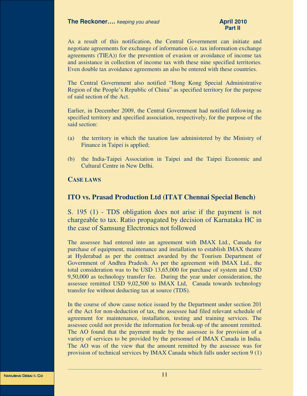As a result of this notification, the Central Government can initiate and negotiate agreements for exchange of information (i.e. tax information exchange agreements (TIEA)) for the prevention of evasion or avoidance of income tax and assistance in collection of income tax with these nine specified territories. Even double tax avoidance agreements an also be entered with these countries.

The Central Government also notified "Hong Kong Special Administrative Region of the People's Republic of China" as specified territory for the purpose of said section of the Act.

Earlier, in December 2009, the Central Government had notified following as specified territory and specified association, respectively, for the purpose of the said section:

- (a) the territory in which the taxation law administered by the Ministry of Finance in Taipei is applied;
- (b) the India-Taipei Association in Taipei and the Taipei Economic and Cultural Centre in New Delhi.

## **CASE LAWS**

# **ITO vs. Prasad Production Ltd (ITAT Chennai Special Bench)**

S. 195 (1) - TDS obligation does not arise if the payment is not chargeable to tax. Ratio propagated by decision of Karnataka HC in the case of Samsung Electronics not followed

The assessee had entered into an agreement with IMAX Ltd., Canada for purchase of equipment, maintenance and installation to establish IMAX theatre at Hyderabad as per the contract awarded by the Tourism Department of Government of Andhra Pradesh. As per the agreement with IMAX Ltd., the total consideration was to be USD 13,65,000 for purchase of system and USD 9,50,000 as technology transfer fee. During the year under consideration, the assessee remitted USD 9,02,500 to IMAX Ltd, Canada towards technology transfer fee without deducting tax at source (TDS).

In the course of show cause notice issued by the Department under section 201 of the Act for non-deduction of tax, the assessee had filed relevant schedule of agreement for maintenance, installation, testing and training services. The assessee could not provide the information for break-up of the amount remitted. The AO found that the payment made by the assessee is for provision of a variety of services to be provided by the personnel of IMAX Canada in India. The AO was of the view that the amount remitted by the assessee was for provision of technical services by IMAX Canada which falls under section 9 (1)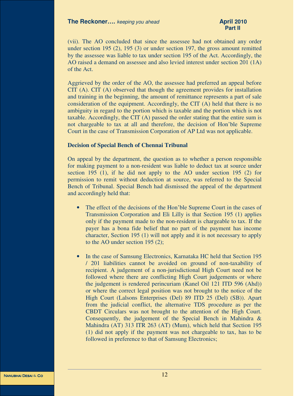#### **The Reckoner....** *keeping you ahead* **April 2010 April 2010**

(vii). The AO concluded that since the assessee had not obtained any order under section 195 (2), 195 (3) or under section 197, the gross amount remitted by the assessee was liable to tax under section 195 of the Act. Accordingly, the AO raised a demand on assessee and also levied interest under section 201 (1A) of the Act.

Aggrieved by the order of the AO, the assessee had preferred an appeal before CIT (A). CIT (A) observed that though the agreement provides for installation and training in the beginning, the amount of remittance represents a part of sale consideration of the equipment. Accordingly, the CIT (A) held that there is no ambiguity in regard to the portion which is taxable and the portion which is not taxable. Accordingly, the CIT (A) passed the order stating that the entire sum is not chargeable to tax at all and therefore, the decision of Hon'ble Supreme Court in the case of Transmission Corporation of AP Ltd was not applicable.

#### **Decision of Special Bench of Chennai Tribunal**

On appeal by the department, the question as to whether a person responsible for making payment to a non-resident was liable to deduct tax at source under section 195 (1), if he did not apply to the AO under section 195 (2) for permission to remit without deduction at source, was referred to the Special Bench of Tribunal. Special Bench had dismissed the appeal of the department and accordingly held that:

- The effect of the decisions of the Hon'ble Supreme Court in the cases of Transmission Corporation and Eli Lilly is that Section 195 (1) applies only if the payment made to the non-resident is chargeable to tax. If the payer has a bona fide belief that no part of the payment has income character, Section 195 (1) will not apply and it is not necessary to apply to the AO under section 195 (2);
- In the case of Samsung Electronics, Karnataka HC held that Section 195 / 201 liabilities cannot be avoided on ground of non-taxability of recipient. A judgement of a non-jurisdictional High Court need not be followed where there are conflicting High Court judgements or where the judgement is rendered perincuriam (Kanel Oil 121 ITD 596 (Ahd)) or where the correct legal position was not brought to the notice of the High Court (Lalsons Enterprises (Del) 89 ITD 25 (Del) (SB)). Apart from the judicial conflict, the alternative TDS procedure as per the CBDT Circulars was not brought to the attention of the High Court. Consequently, the judgement of the Special Bench in Mahindra & Mahindra (AT) 313 ITR 263 (AT) (Mum), which held that Section 195 (1) did not apply if the payment was not chargeable to tax, has to be followed in preference to that of Samsung Electronics;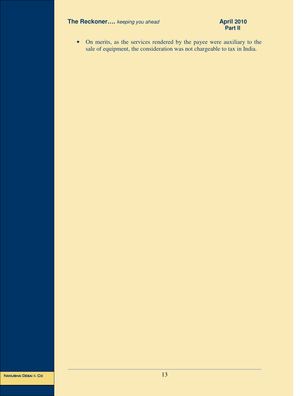# **The Reckoner....** *keeping you ahead* **April 2010 April 2010 Part II**

# **Part II**

• On merits, as the services rendered by the payee were auxiliary to the sale of equipment, the consideration was not chargeable to tax in India.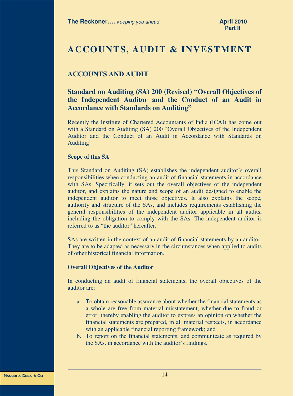# **ACCOUNTS, AUDIT & INVESTMENT**

# **ACCOUNTS AND AUDIT**

# **Standard on Auditing (SA) 200 (Revised) "Overall Objectives of the Independent Auditor and the Conduct of an Audit in Accordance with Standards on Auditing"**

Recently the Institute of Chartered Accountants of India (ICAI) has come out with a Standard on Auditing (SA) 200 "Overall Objectives of the Independent Auditor and the Conduct of an Audit in Accordance with Standards on Auditing"

#### **Scope of this SA**

This Standard on Auditing (SA) establishes the independent auditor's overall responsibilities when conducting an audit of financial statements in accordance with SAs. Specifically, it sets out the overall objectives of the independent auditor, and explains the nature and scope of an audit designed to enable the independent auditor to meet those objectives. It also explains the scope, authority and structure of the SAs, and includes requirements establishing the general responsibilities of the independent auditor applicable in all audits, including the obligation to comply with the SAs. The independent auditor is referred to as "the auditor" hereafter.

SAs are written in the context of an audit of financial statements by an auditor. They are to be adapted as necessary in the circumstances when applied to audits of other historical financial information.

#### **Overall Objectives of the Auditor**

In conducting an audit of financial statements, the overall objectives of the auditor are:

- a. To obtain reasonable assurance about whether the financial statements as a whole are free from material misstatement, whether due to fraud or error, thereby enabling the auditor to express an opinion on whether the financial statements are prepared, in all material respects, in accordance with an applicable financial reporting framework; and
- b. To report on the financial statements, and communicate as required by the SAs, in accordance with the auditor's findings.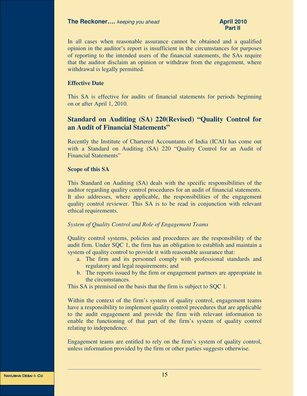In all cases when reasonable assurance cannot be obtained and a qualified opinion in the auditor's report is insufficient in the circumstances for purposes of reporting to the intended users of the financial statements, the SAs require that the auditor disclaim an opinion or withdraw from the engagement, where withdrawal is legally permitted.

#### **Effective Date**

This SA is effective for audits of financial statements for periods beginning on or after April 1, 2010.

# **Standard on Auditing (SA) 220(Revised) "Quality Control for an Audit of Financial Statements"**

Recently the Institute of Chartered Accountants of India (ICAI) has come out with a Standard on Auditing (SA) 220 "Quality Control for an Audit of Financial Statements"

#### **Scope of this SA**

This Standard on Auditing (SA) deals with the specific responsibilities of the auditor regarding quality control procedures for an audit of financial statements. It also addresses, where applicable, the responsibilities of the engagement quality control reviewer. This SA is to be read in conjunction with relevant ethical requirements.

#### *System of Quality Control and Role of Engagement Teams*

Quality control systems, policies and procedures are the responsibility of the audit firm. Under SQC 1, the firm has an obligation to establish and maintain a system of quality control to provide it with reasonable assurance that:

- a. The firm and its personnel comply with professional standards and regulatory and legal requirements; and
- b. The reports issued by the firm or engagement partners are appropriate in the circumstances.

This SA is premised on the basis that the firm is subject to SOC 1.

Within the context of the firm's system of quality control, engagement teams have a responsibility to implement quality control procedures that are applicable to the audit engagement and provide the firm with relevant information to enable the functioning of that part of the firm's system of quality control relating to independence.

Engagement teams are entitled to rely on the firm's system of quality control, unless information provided by the firm or other parties suggests otherwise.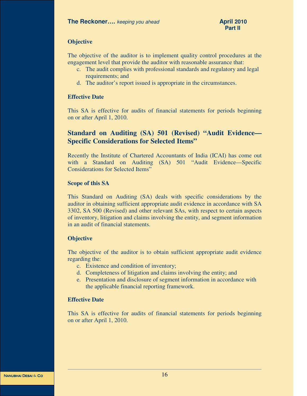## **Objective**

The objective of the auditor is to implement quality control procedures at the engagement level that provide the auditor with reasonable assurance that:

- c. The audit complies with professional standards and regulatory and legal requirements; and
- d. The auditor's report issued is appropriate in the circumstances.

#### **Effective Date**

This SA is effective for audits of financial statements for periods beginning on or after April 1, 2010.

# **Standard on Auditing (SA) 501 (Revised) "Audit Evidence— Specific Considerations for Selected Items"**

Recently the Institute of Chartered Accountants of India (ICAI) has come out with a Standard on Auditing (SA) 501 "Audit Evidence—Specific Considerations for Selected Items"

#### **Scope of this SA**

This Standard on Auditing (SA) deals with specific considerations by the auditor in obtaining sufficient appropriate audit evidence in accordance with SA 3302, SA 500 (Revised) and other relevant SAs, with respect to certain aspects of inventory, litigation and claims involving the entity, and segment information in an audit of financial statements.

## **Objective**

The objective of the auditor is to obtain sufficient appropriate audit evidence regarding the:

- c. Existence and condition of inventory;
- d. Completeness of litigation and claims involving the entity; and
- e. Presentation and disclosure of segment information in accordance with the applicable financial reporting framework.

## **Effective Date**

This SA is effective for audits of financial statements for periods beginning on or after April 1, 2010.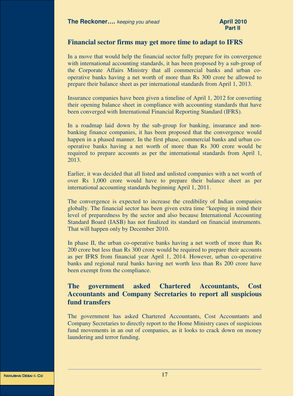# **Financial sector firms may get more time to adapt to IFRS**

In a move that would help the financial sector fully prepare for its convergence with international accounting standards, it has been proposed by a sub-group of the Corporate Affairs Ministry that all commercial banks and urban cooperative banks having a net worth of more than Rs 300 crore be allowed to prepare their balance sheet as per international standards from April 1, 2013.

Insurance companies have been given a timeline of April 1, 2012 for converting their opening balance sheet in compliance with accounting standards that have been converged with International Financial Reporting Standard (IFRS).

In a roadmap laid down by the sub-group for banking, insurance and nonbanking finance companies, it has been proposed that the convergence would happen in a phased manner. In the first phase, commercial banks and urban cooperative banks having a net worth of more than Rs 300 crore would be required to prepare accounts as per the international standards from April 1, 2013.

Earlier, it was decided that all listed and unlisted companies with a net worth of over Rs 1,000 crore would have to prepare their balance sheet as per international accounting standards beginning April 1, 2011.

The convergence is expected to increase the credibility of Indian companies globally. The financial sector has been given extra time "keeping in mind their level of preparedness by the sector and also because International Accounting Standard Board (IASB) has not finalized its standard on financial instruments. That will happen only by December 2010.

In phase II, the urban co-operative banks having a net worth of more than Rs 200 crore but less than Rs 300 crore would be required to prepare their accounts as per IFRS from financial year April 1, 2014. However, urban co-operative banks and regional rural banks having net worth less than Rs 200 crore have been exempt from the compliance.

# **The government asked Chartered Accountants, Cost Accountants and Company Secretaries to report all suspicious fund transfers**

The government has asked Chartered Accountants, Cost Accountants and Company Secretaries to directly report to the Home Ministry cases of suspicious fund movements in an out of companies, as it looks to crack down on money laundering and terror funding.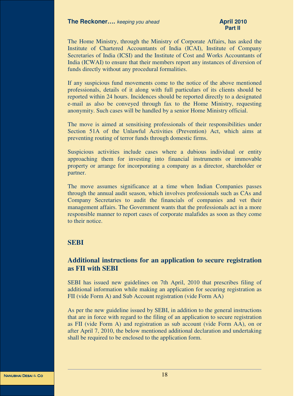The Home Ministry, through the Ministry of Corporate Affairs, has asked the Institute of Chartered Accountants of India (ICAI), Institute of Company Secretaries of India (ICSI) and the Institute of Cost and Works Accountants of India (ICWAI) to ensure that their members report any instances of diversion of funds directly without any procedural formalities.

If any suspicious fund movements come to the notice of the above mentioned professionals, details of it along with full particulars of its clients should be reported within 24 hours. Incidences should be reported directly to a designated e-mail as also be conveyed through fax to the Home Ministry, requesting anonymity. Such cases will be handled by a senior Home Ministry official.

The move is aimed at sensitising professionals of their responsibilities under Section 51A of the Unlawful Activities (Prevention) Act, which aims at preventing routing of terror funds through domestic firms.

Suspicious activities include cases where a dubious individual or entity approaching them for investing into financial instruments or immovable property or arrange for incorporating a company as a director, shareholder or partner.

The move assumes significance at a time when Indian Companies passes through the annual audit season, which involves professionals such as CAs and Company Secretaries to audit the financials of companies and vet their management affairs. The Government wants that the professionals act in a more responsible manner to report cases of corporate malafides as soon as they come to their notice.

# **SEBI**

# **Additional instructions for an application to secure registration as FII with SEBI**

SEBI has issued new guidelines on 7th April, 2010 that prescribes filing of additional information while making an application for securing registration as FII (vide Form A) and Sub Account registration (vide Form AA)

As per the new guideline issued by SEBI, in addition to the general instructions that are in force with regard to the filing of an application to secure registration as FII (vide Form A) and registration as sub account (vide Form AA), on or after April 7, 2010, the below mentioned additional declaration and undertaking shall be required to be enclosed to the application form.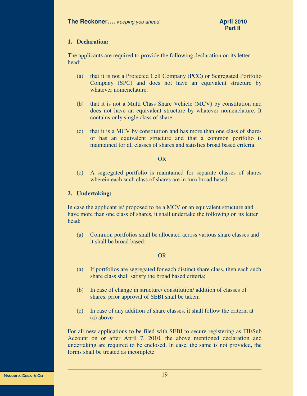## **1. Declaration:**

The applicants are required to provide the following declaration on its letter head:

- (a) that it is not a Protected Cell Company (PCC) or Segregated Portfolio Company (SPC) and does not have an equivalent structure by whatever nomenclature.
- (b) that it is not a Multi Class Share Vehicle (MCV) by constitution and does not have an equivalent structure by whatever nomenclature. It contains only single class of share.
- (c) that it is a MCV by constitution and has more than one class of shares or has an equivalent structure and that a common portfolio is maintained for all classes of shares and satisfies broad based criteria.

#### OR

(c) A segregated portfolio is maintained for separate classes of shares wherein each such class of shares are in turn broad based.

#### **2. Undertaking:**

In case the applicant is/ proposed to be a MCV or an equivalent structure and have more than one class of shares, it shall undertake the following on its letter head:

(a) Common portfolios shall be allocated across various share classes and it shall be broad based;

#### OR

- (a) If portfolios are segregated for each distinct share class, then each such share class shall satisfy the broad based criteria;
- (b) In case of change in structure/ constitution/ addition of classes of shares, prior approval of SEBI shall be taken;
- (c) In case of any addition of share classes, it shall follow the criteria at (a) above

For all new applications to be filed with SEBI to secure registering as FII/Sub Account on or after April 7, 2010, the above mentioned declaration and undertaking are required to be enclosed. In case, the same is not provided, the forms shall be treated as incomplete.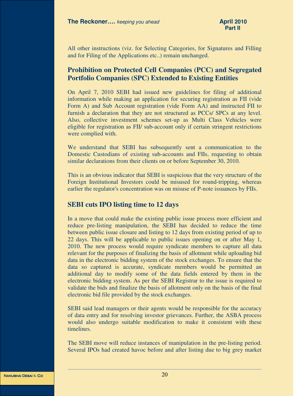All other instructions (viz. for Selecting Categories, for Signatures and Filling and for Filing of the Applications etc..) remain unchanged.

# **Prohibition on Protected Cell Companies (PCC) and Segregated Portfolio Companies (SPC) Extended to Existing Entities**

On April 7, 2010 SEBI had issued new guidelines for filing of additional information while making an application for securing registration as FII (vide Form A) and Sub Account registration (vide Form AA) and instructed FII to furnish a declaration that they are not structured as PCCs/ SPCs at any level. Also, collective investment schemes set-up as Multi Class Vehicles were eligible for registration as FII/ sub-account only if certain stringent restrictions were complied with.

We understand that SEBI has subsequently sent a communication to the Domestic Custodians of existing sub-accounts and FIIs, requesting to obtain similar declarations from their clients on or before September 30, 2010.

This is an obvious indicator that SEBI is suspicious that the very structure of the Foreign Institutional Investors could be misused for round-tripping, whereas earlier the regulator's concentration was on misuse of P-note issuances by FIIs.

# **SEBI cuts IPO listing time to 12 days**

In a move that could make the existing public issue process more efficient and reduce pre-listing manipulation, the SEBI has decided to reduce the time between public issue closure and listing to 12 days from existing period of up to 22 days. This will be applicable to public issues opening on or after May 1, 2010. The new process would require syndicate members to capture all data relevant for the purposes of finalizing the basis of allotment while uploading bid data in the electronic bidding system of the stock exchanges. To ensure that the data so captured is accurate, syndicate members would be permitted an additional day to modify some of the data fields entered by them in the electronic bidding system. As per the SEBI Registrar to the issue is required to validate the bids and finalize the basis of allotment only on the basis of the final electronic bid file provided by the stock exchanges.

SEBI said lead managers or their agents would be responsible for the accuracy of data entry and for resolving investor grievances. Further, the ASBA process would also undergo suitable modification to make it consistent with these timelines.

The SEBI move will reduce instances of manipulation in the pre-listing period. Several IPOs had created havoc before and after listing due to big grey market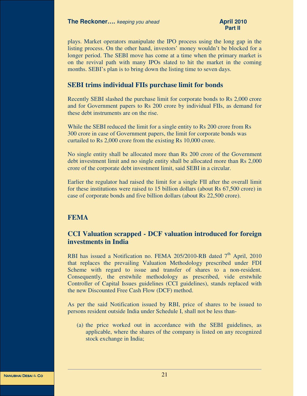plays. Market operators manipulate the IPO process using the long gap in the listing process. On the other hand, investors' money wouldn't be blocked for a longer period. The SEBI move has come at a time when the primary market is on the revival path with many IPOs slated to hit the market in the coming months. SEBI's plan is to bring down the listing time to seven days.

# **SEBI trims individual FIIs purchase limit for bonds**

Recently SEBI slashed the purchase limit for corporate bonds to Rs 2,000 crore and for Government papers to Rs 200 crore by individual FIIs, as demand for these debt instruments are on the rise.

While the SEBI reduced the limit for a single entity to Rs 200 crore from Rs 300 crore in case of Government papers, the limit for corporate bonds was curtailed to Rs 2,000 crore from the existing Rs 10,000 crore.

No single entity shall be allocated more than Rs 200 crore of the Government debt investment limit and no single entity shall be allocated more than Rs 2,000 crore of the corporate debt investment limit, said SEBI in a circular.

Earlier the regulator had raised the limit for a single FII after the overall limit for these institutions were raised to 15 billion dollars (about Rs 67,500 crore) in case of corporate bonds and five billion dollars (about Rs 22,500 crore).

# **FEMA**

# **CCI Valuation scrapped - DCF valuation introduced for foreign investments in India**

RBI has issued a Notification no. FEMA 205/2010-RB dated  $7<sup>th</sup>$  April, 2010 that replaces the prevailing Valuation Methodology prescribed under FDI Scheme with regard to issue and transfer of shares to a non-resident. Consequently, the erstwhile methodology as prescribed, vide erstwhile Controller of Capital Issues guidelines (CCI guidelines), stands replaced with the new Discounted Free Cash Flow (DCF) method.

As per the said Notification issued by RBI, price of shares to be issued to persons resident outside India under Schedule I, shall not be less than-

(a) the price worked out in accordance with the SEBI guidelines, as applicable, where the shares of the company is listed on any recognized stock exchange in India;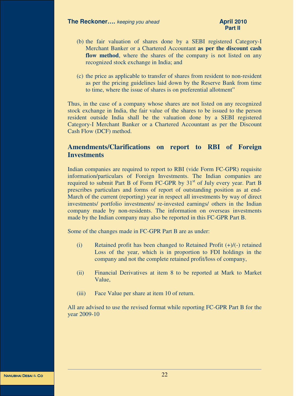- (b) the fair valuation of shares done by a SEBI registered Category-I Merchant Banker or a Chartered Accountant **as per the discount cash**  flow method, where the shares of the company is not listed on any recognized stock exchange in India; and
- (c) the price as applicable to transfer of shares from resident to non-resident as per the pricing guidelines laid down by the Reserve Bank from time to time, where the issue of shares is on preferential allotment"

Thus, in the case of a company whose shares are not listed on any recognized stock exchange in India, the fair value of the shares to be issued to the person resident outside India shall be the valuation done by a SEBI registered Category-I Merchant Banker or a Chartered Accountant as per the Discount Cash Flow (DCF) method.

# **Amendments/Clarifications on report to RBI of Foreign Investments**

Indian companies are required to report to RBI (vide Form FC-GPR) requisite information/particulars of Foreign Investments. The Indian companies are required to submit Part B of Form FC-GPR by  $31<sup>st</sup>$  of July every year. Part B prescribes particulars and forms of report of outstanding position as at end-March of the current (reporting) year in respect all investments by way of direct investments/ portfolio investments/ re-invested earnings/ others in the Indian company made by non-residents. The information on overseas investments made by the Indian company may also be reported in this FC-GPR Part B.

Some of the changes made in FC-GPR Part B are as under:

- (i) Retained profit has been changed to Retained Profit  $(+)/(-)$  retained Loss of the year, which is in proportion to FDI holdings in the company and not the complete retained profit/loss of company,
- (ii) Financial Derivatives at item 8 to be reported at Mark to Market Value,
- (iii) Face Value per share at item 10 of return.

All are advised to use the revised format while reporting FC-GPR Part B for the year 2009-10